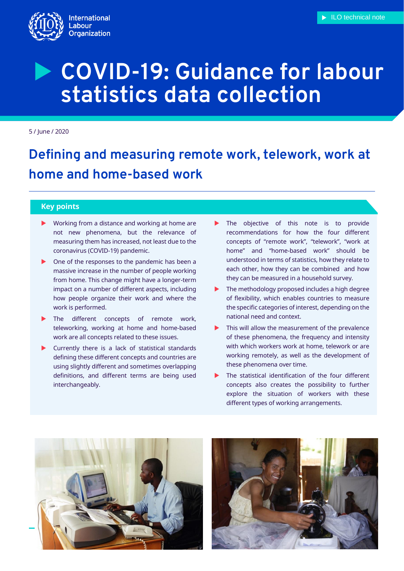

5 / June / 2020

# **Defining and measuring remote work, telework, work at home and home-based work**

# **Key points**

- ▶ Working from a distance and working at home are not new phenomena, but the relevance of measuring them has increased, not least due to the coronavirus (COVID-19) pandemic.
- ▶ One of the responses to the pandemic has been a massive increase in the number of people working from home. This change might have a longer-term impact on a number of different aspects, including how people organize their work and where the work is performed.
- The different concepts of remote work, teleworking, working at home and home-based work are all concepts related to these issues.
- $\blacktriangleright$  Currently there is a lack of statistical standards defining these different concepts and countries are using slightly different and sometimes overlapping definitions, and different terms are being used interchangeably.
- The objective of this note is to provide recommendations for how the four different concepts of "remote work", "telework", "work at home" and "home-based work" should be understood in terms of statistics, how they relate to each other, how they can be combined and how they can be measured in a household survey.
- The methodology proposed includes a high degree of flexibility, which enables countries to measure the specific categories of interest, depending on the national need and context.
- This will allow the measurement of the prevalence of these phenomena, the frequency and intensity with which workers work at home, telework or are working remotely, as well as the development of these phenomena over time.
- The statistical identification of the four different concepts also creates the possibility to further explore the situation of workers with these different types of working arrangements.



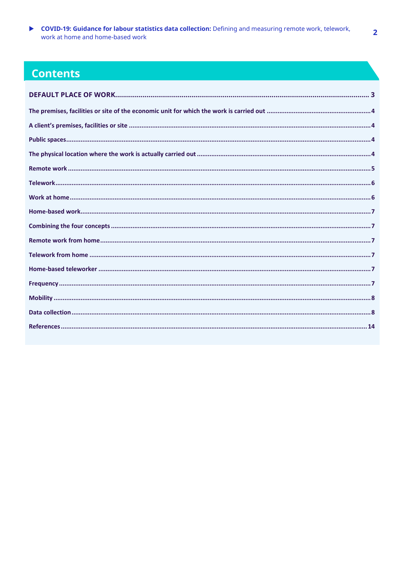▶ COVID-19: Guidance for labour statistics data collection: Defining and measuring remote work, telework, work at home and home-based work

# **Contents**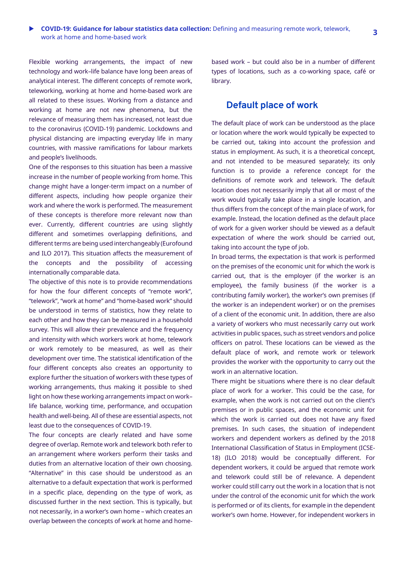Flexible working arrangements, the impact of new technology and work–life balance have long been areas of analytical interest. The different concepts of remote work, teleworking, working at home and home-based work are all related to these issues. Working from a distance and working at home are not new phenomena, but the relevance of measuring them has increased, not least due to the coronavirus (COVID-19) pandemic. Lockdowns and physical distancing are impacting everyday life in many countries, with massive ramifications for labour markets and people's livelihoods.

One of the responses to this situation has been a massive increase in the number of people working from home. This change might have a longer-term impact on a number of different aspects, including how people organize their work and where the work is performed. The measurement of these concepts is therefore more relevant now than ever. Currently, different countries are using slightly different and sometimes overlapping definitions, and different terms are being used interchangeably (Eurofound and ILO 2017). This situation affects the measurement of the concepts and the possibility of accessing internationally comparable data.

The objective of this note is to provide recommendations for how the four different concepts of "remote work", "telework", "work at home" and "home-based work" should be understood in terms of statistics, how they relate to each other and how they can be measured in a household survey. This will allow their prevalence and the frequency and intensity with which workers work at home, telework or work remotely to be measured, as well as their development over time. The statistical identification of the four different concepts also creates an opportunity to explore further the situation of workers with these types of working arrangements, thus making it possible to shed light on how these working arrangements impact on work– life balance, working time, performance, and occupation health and well-being. All of these are essential aspects, not least due to the consequences of COVID-19.

The four concepts are clearly related and have some degree of overlap. Remote work and telework both refer to an arrangement where workers perform their tasks and duties from an alternative location of their own choosing. "Alternative" in this case should be understood as an alternative to a default expectation that work is performed in a specific place, depending on the type of work, as discussed further in the next section. This is typically, but not necessarily, in a worker's own home – which creates an overlap between the concepts of work at home and homebased work – but could also be in a number of different types of locations, such as a co-working space, café or library.

# <span id="page-2-0"></span>**Default place of work**

The default place of work can be understood as the place or location where the work would typically be expected to be carried out, taking into account the profession and status in employment. As such, it is a theoretical concept, and not intended to be measured separately; its only function is to provide a reference concept for the definitions of remote work and telework. The default location does not necessarily imply that all or most of the work would typically take place in a single location, and thus differs from the concept of the main place of work, for example. Instead, the location defined as the default place of work for a given worker should be viewed as a default expectation of where the work should be carried out, taking into account the type of job.

In broad terms, the expectation is that work is performed on the premises of the economic unit for which the work is carried out, that is the employer (if the worker is an employee), the family business (if the worker is a contributing family worker), the worker's own premises (if the worker is an independent worker) or on the premises of a client of the economic unit. In addition, there are also a variety of workers who must necessarily carry out work activities in public spaces, such as street vendors and police officers on patrol. These locations can be viewed as the default place of work, and remote work or telework provides the worker with the opportunity to carry out the work in an alternative location.

There might be situations where there is no clear default place of work for a worker. This could be the case, for example, when the work is not carried out on the client's premises or in public spaces, and the economic unit for which the work is carried out does not have any fixed premises. In such cases, the situation of independent workers and dependent workers as defined by the 2018 International Classification of Status in Employment (ICSE-18) (ILO 2018) would be conceptually different. For dependent workers, it could be argued that remote work and telework could still be of relevance. A dependent worker could still carry out the work in a location that is not under the control of the economic unit for which the work is performed or of its clients, for example in the dependent worker's own home. However, for independent workers in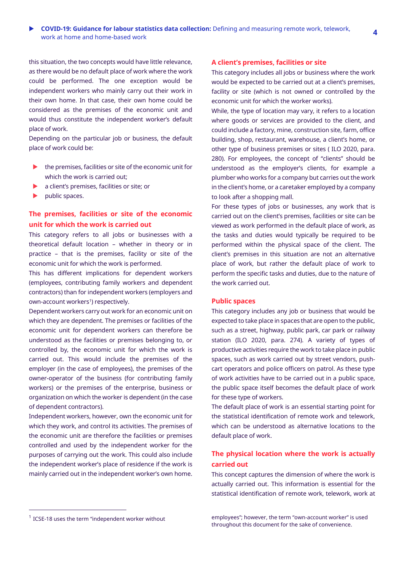this situation, the two concepts would have little relevance, as there would be no default place of work where the work could be performed. The one exception would be independent workers who mainly carry out their work in their own home. In that case, their own home could be considered as the premises of the economic unit and would thus constitute the independent worker's default place of work.

Depending on the particular job or business, the default place of work could be:

- $\blacktriangleright$  the premises, facilities or site of the economic unit for which the work is carried out;
- **a** client's premises, facilities or site; or
- public spaces.

# <span id="page-3-0"></span>**The premises, facilities or site of the economic unit for which the work is carried out**

This category refers to all jobs or businesses with a theoretical default location – whether in theory or in practice – that is the premises, facility or site of the economic unit for which the work is performed.

This has different implications for dependent workers (employees, contributing family workers and dependent contractors) than for independent workers (employers and own-account workers<sup>1</sup>) respectively.

Dependent workers carry out work for an economic unit on which they are dependent. The premises or facilities of the economic unit for dependent workers can therefore be understood as the facilities or premises belonging to, or controlled by, the economic unit for which the work is carried out. This would include the premises of the employer (in the case of employees), the premises of the owner-operator of the business (for contributing family workers) or the premises of the enterprise, business or organization on which the worker is dependent (in the case of dependent contractors).

Independent workers, however, own the economic unit for which they work, and control its activities. The premises of the economic unit are therefore the facilities or premises controlled and used by the independent worker for the purposes of carrying out the work. This could also include the independent worker's place of residence if the work is mainly carried out in the independent worker's own home.

#### <span id="page-3-1"></span>**A client's premises, facilities or site**

This category includes all jobs or business where the work would be expected to be carried out at a client's premises, facility or site (which is not owned or controlled by the economic unit for which the worker works).

While, the type of location may vary, it refers to a location where goods or services are provided to the client, and could include a factory, mine, construction site, farm, office building, shop, restaurant, warehouse, a client's home, or other type of business premises or sites ( ILO 2020, para. 280). For employees, the concept of "clients" should be understood as the employer's clients, for example a plumber who works for a company but carries out the work in the client's home, or a caretaker employed by a company to look after a shopping mall.

For these types of jobs or businesses, any work that is carried out on the client's premises, facilities or site can be viewed as work performed in the default place of work, as the tasks and duties would typically be required to be performed within the physical space of the client. The client's premises in this situation are not an alternative place of work, but rather the default place of work to perform the specific tasks and duties, due to the nature of the work carried out.

## <span id="page-3-2"></span>**Public spaces**

This category includes any job or business that would be expected to take place in spaces that are open to the public, such as a street, highway, public park, car park or railway station (ILO 2020, para. 274). A variety of types of productive activities require the work to take place in public spaces, such as work carried out by street vendors, pushcart operators and police officers on patrol. As these type of work activities have to be carried out in a public space, the public space itself becomes the default place of work for these type of workers.

The default place of work is an essential starting point for the statistical identification of remote work and telework, which can be understood as alternative locations to the default place of work.

# <span id="page-3-3"></span>**The physical location where the work is actually carried out**

This concept captures the dimension of where the work is actually carried out. This information is essential for the statistical identification of remote work, telework, work at

 $\overline{a}$ 

<sup>&</sup>lt;sup>1</sup> ICSE-18 uses the term "independent worker without

employees"; however, the term "own-account worker" is used throughout this document for the sake of convenience.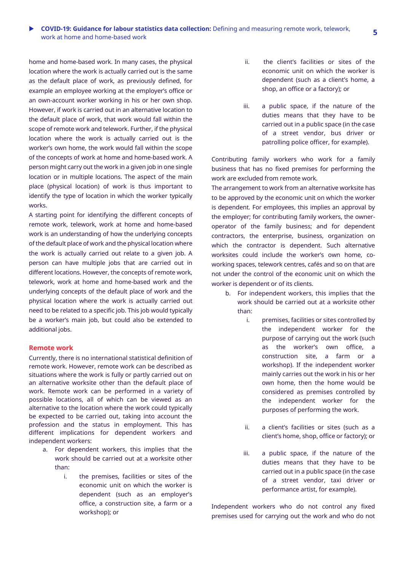# **COVID-19: Guidance for labour statistics data collection:** Defining and measuring remote work, telework, work at home and home-based work **<sup>5</sup>**

home and home-based work. In many cases, the physical location where the work is actually carried out is the same as the default place of work, as previously defined, for example an employee working at the employer's office or an own-account worker working in his or her own shop. However, if work is carried out in an alternative location to the default place of work, that work would fall within the scope of remote work and telework. Further, if the physical location where the work is actually carried out is the worker's own home, the work would fall within the scope of the concepts of work at home and home-based work. A person might carry out the work in a given job in one single location or in multiple locations. The aspect of the main place (physical location) of work is thus important to identify the type of location in which the worker typically works.

A starting point for identifying the different concepts of remote work, telework, work at home and home-based work is an understanding of how the underlying concepts of the default place of work and the physical location where the work is actually carried out relate to a given job. A person can have multiple jobs that are carried out in different locations. However, the concepts of remote work, telework, work at home and home-based work and the underlying concepts of the default place of work and the physical location where the work is actually carried out need to be related to a specific job. This job would typically be a worker's main job, but could also be extended to additional jobs.

#### <span id="page-4-0"></span>**Remote work**

Currently, there is no international statistical definition of remote work. However, remote work can be described as situations where the work is fully or partly carried out on an alternative worksite other than the default place of work. Remote work can be performed in a variety of possible locations, all of which can be viewed as an alternative to the location where the work could typically be expected to be carried out, taking into account the profession and the status in employment. This has different implications for dependent workers and independent workers:

- a. For dependent workers, this implies that the work should be carried out at a worksite other than:
	- i. the premises, facilities or sites of the economic unit on which the worker is dependent (such as an employer's office, a construction site, a farm or a workshop); or
- ii. the client's facilities or sites of the economic unit on which the worker is dependent (such as a client's home, a shop, an office or a factory); or
- iii. a public space, if the nature of the duties means that they have to be carried out in a public space (in the case of a street vendor, bus driver or patrolling police officer, for example).

Contributing family workers who work for a family business that has no fixed premises for performing the work are excluded from remote work.

The arrangement to work from an alternative worksite has to be approved by the economic unit on which the worker is dependent. For employees, this implies an approval by the employer; for contributing family workers, the owneroperator of the family business; and for dependent contractors, the enterprise, business, organization on which the contractor is dependent. Such alternative worksites could include the worker's own home, coworking spaces, telework centres, cafés and so on that are not under the control of the economic unit on which the worker is dependent or of its clients.

- b. For independent workers, this implies that the work should be carried out at a worksite other than:
	- i. premises, facilities or sites controlled by the independent worker for the purpose of carrying out the work (such as the worker's own office, a construction site, a farm or a workshop). If the independent worker mainly carries out the work in his or her own home, then the home would be considered as premises controlled by the independent worker for the purposes of performing the work.
	- ii. a client's facilities or sites (such as a client's home, shop, office or factory); or
	- iii. a public space, if the nature of the duties means that they have to be carried out in a public space (in the case of a street vendor, taxi driver or performance artist, for example).

Independent workers who do not control any fixed premises used for carrying out the work and who do not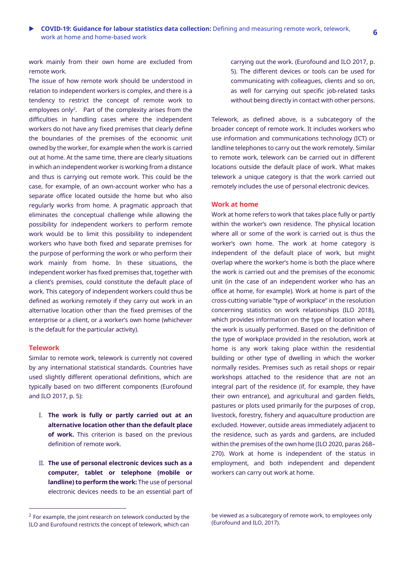work mainly from their own home are excluded from remote work.

The issue of how remote work should be understood in relation to independent workers is complex, and there is a tendency to restrict the concept of remote work to employees only<sup>2</sup>. Part of the complexity arises from the difficulties in handling cases where the independent workers do not have any fixed premises that clearly define the boundaries of the premises of the economic unit owned by the worker, for example when the work is carried out at home. At the same time, there are clearly situations in which an independent worker is working from a distance and thus is carrying out remote work. This could be the case, for example, of an own-account worker who has a separate office located outside the home but who also regularly works from home. A pragmatic approach that eliminates the conceptual challenge while allowing the possibility for independent workers to perform remote work would be to limit this possibility to independent workers who have both fixed and separate premises for the purpose of performing the work or who perform their work mainly from home. In these situations, the independent worker has fixed premises that, together with a client's premises, could constitute the default place of work. This category of independent workers could thus be defined as working remotely if they carry out work in an alternative location other than the fixed premises of the enterprise or a client, or a worker's own home (whichever is the default for the particular activity).

#### <span id="page-5-0"></span>**Telework**

 $\overline{a}$ 

Similar to remote work, telework is currently not covered by any international statistical standards. Countries have used slightly different operational definitions, which are typically based on two different components (Eurofound and ILO 2017, p. 5):

- I. **The work is fully or partly carried out at an alternative location other than the default place of work.** This criterion is based on the previous definition of remote work.
- II. **The use of personal electronic devices such as a computer, tablet or telephone (mobile or landline) to perform the work:** The use of personal electronic devices needs to be an essential part of

carrying out the work. (Eurofound and ILO 2017, p. 5). The different devices or tools can be used for communicating with colleagues, clients and so on, as well for carrying out specific job-related tasks without being directly in contact with other persons.

Telework, as defined above, is a subcategory of the broader concept of remote work. It includes workers who use information and communications technology (ICT) or landline telephones to carry out the work remotely. Similar to remote work, telework can be carried out in different locations outside the default place of work. What makes telework a unique category is that the work carried out remotely includes the use of personal electronic devices.

# <span id="page-5-1"></span>**Work at home**

Work at home refers to work that takes place fully or partly within the worker's own residence. The physical location where all or some of the work is carried out is thus the worker's own home. The work at home category is independent of the default place of work, but might overlap where the worker's home is both the place where the work is carried out and the premises of the economic unit (in the case of an independent worker who has an office at home, for example). Work at home is part of the cross-cutting variable "type of workplace" in the resolution concerning statistics on work relationships (ILO 2018), which provides information on the type of location where the work is usually performed. Based on the definition of the type of workplace provided in the resolution, work at home is any work taking place within the residential building or other type of dwelling in which the worker normally resides. Premises such as retail shops or repair workshops attached to the residence that are not an integral part of the residence (if, for example, they have their own entrance), and agricultural and garden fields, pastures or plots used primarily for the purposes of crop, livestock, forestry, fishery and aquaculture production are excluded. However, outside areas immediately adjacent to the residence, such as yards and gardens, are included within the premises of the own home (ILO 2020, paras 268– 270). Work at home is independent of the status in employment, and both independent and dependent workers can carry out work at home.

 $2$  For example, the joint research on telework conducted by the ILO and Eurofound restricts the concept of telework, which can

be viewed as a subcategory of remote work, to employees only (Eurofound and ILO, 2017).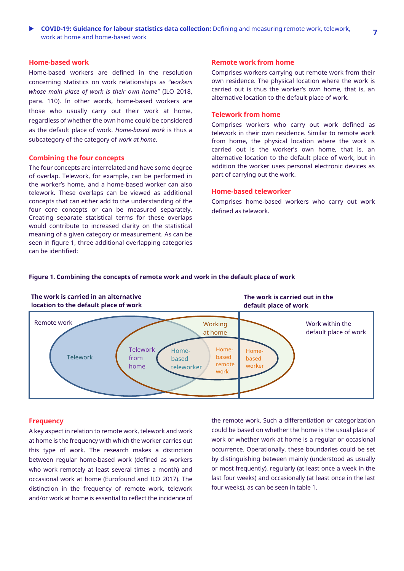## <span id="page-6-0"></span>**Home-based work**

Home-based workers are defined in the resolution concerning statistics on work relationships as "*workers whose main place of work is their own home"* (ILO 2018, para. 110). In other words, home-based workers are those who usually carry out their work at home, regardless of whether the own home could be considered as the default place of work. *Home-based work* is thus a subcategory of the category of *work at home*.

#### <span id="page-6-1"></span>**Combining the four concepts**

The four concepts are interrelated and have some degree of overlap. Telework, for example, can be performed in the worker's home, and a home-based worker can also telework. These overlaps can be viewed as additional concepts that can either add to the understanding of the four core concepts or can be measured separately. Creating separate statistical terms for these overlaps would contribute to increased clarity on the statistical meaning of a given category or measurement. As can be seen in figure 1, three additional overlapping categories can be identified:

#### <span id="page-6-2"></span>**Remote work from home**

Comprises workers carrying out remote work from their own residence. The physical location where the work is carried out is thus the worker's own home, that is, an alternative location to the default place of work.

# <span id="page-6-3"></span>**Telework from home**

Comprises workers who carry out work defined as telework in their own residence. Similar to remote work from home, the physical location where the work is carried out is the worker's own home, that is, an alternative location to the default place of work, but in addition the worker uses personal electronic devices as part of carrying out the work.

## <span id="page-6-4"></span>**Home-based teleworker**

Comprises home-based workers who carry out work defined as telework.

#### **Figure 1. Combining the concepts of remote work and work in the default place of work**



## <span id="page-6-5"></span>**Frequency**

A key aspect in relation to remote work, telework and work at home is the frequency with which the worker carries out this type of work. The research makes a distinction between regular home-based work (defined as workers who work remotely at least several times a month) and occasional work at home (Eurofound and ILO 2017). The distinction in the frequency of remote work, telework and/or work at home is essential to reflect the incidence of

the remote work. Such a differentiation or categorization could be based on whether the home is the usual place of work or whether work at home is a regular or occasional occurrence. Operationally, these boundaries could be set by distinguishing between mainly (understood as usually or most frequently), regularly (at least once a week in the last four weeks) and occasionally (at least once in the last four weeks), as can be seen in table 1.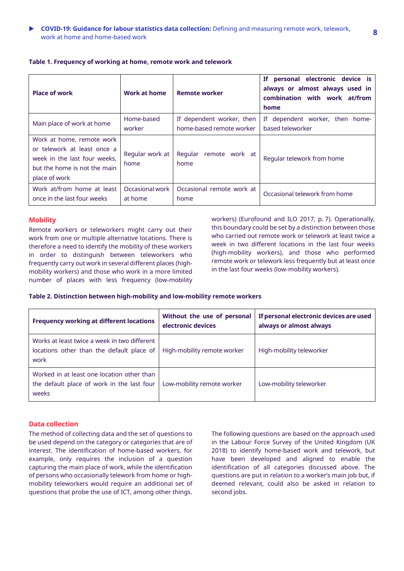| <b>Place of work</b>                                                                                                                      | <b>Work at home</b>     | <b>Remote worker</b>              | If personal electronic device is<br>always or almost always used in<br>combination with work at/from<br>home |
|-------------------------------------------------------------------------------------------------------------------------------------------|-------------------------|-----------------------------------|--------------------------------------------------------------------------------------------------------------|
| Main place of work at home                                                                                                                | Home-based              | If dependent worker, then         | If dependent worker, then home-                                                                              |
|                                                                                                                                           | worker                  | home-based remote worker          | based teleworker                                                                                             |
| Work at home, remote work<br>or telework at least once a<br>week in the last four weeks,<br>but the home is not the main<br>place of work | Regular work at<br>home | Regular<br>remote work at<br>home | Regular telework from home                                                                                   |
| Work at/from home at least                                                                                                                | Occasional work         | Occasional remote work at         | Occasional telework from home                                                                                |
| once in the last four weeks                                                                                                               | at home                 | home                              |                                                                                                              |

# **Table 1. Frequency of working at home, remote work and telework**

# <span id="page-7-0"></span>**Mobility**

Remote workers or teleworkers might carry out their work from one or multiple alternative locations. There is therefore a need to identify the mobility of these workers in order to distinguish between teleworkers who frequently carry out work in several different places (highmobility workers) and those who work in a more limited number of places with less frequency (low-mobility

workers) (Eurofound and ILO 2017, p. 7). Operationally, this boundary could be set by a distinction between those who carried out remote work or telework at least twice a week in two different locations in the last four weeks (high-mobility workers), and those who performed remote work or telework less frequently but at least once in the last four weeks (low-mobility workers).

### **Table 2. Distinction between high-mobility and low-mobility remote workers**

| <b>Frequency working at different locations</b>                                                   | Without the use of personal<br>electronic devices | If personal electronic devices are used<br>always or almost always |
|---------------------------------------------------------------------------------------------------|---------------------------------------------------|--------------------------------------------------------------------|
| Works at least twice a week in two different<br>locations other than the default place of<br>work | High-mobility remote worker                       | High-mobility teleworker                                           |
| Worked in at least one location other than<br>the default place of work in the last four<br>weeks | Low-mobility remote worker                        | Low-mobility teleworker                                            |

#### <span id="page-7-1"></span>**Data collection**

The method of collecting data and the set of questions to be used depend on the category or categories that are of interest. The identification of home-based workers, for example, only requires the inclusion of a question capturing the main place of work, while the identification of persons who occasionally telework from home or highmobility teleworkers would require an additional set of questions that probe the use of ICT, among other things.

The following questions are based on the approach used in the Labour Force Survey of the United Kingdom (UK 2018) to identify home-based work and telework, but have been developed and aligned to enable the identification of all categories discussed above. The questions are put in relation to a worker's main job but, if deemed relevant, could also be asked in relation to second jobs.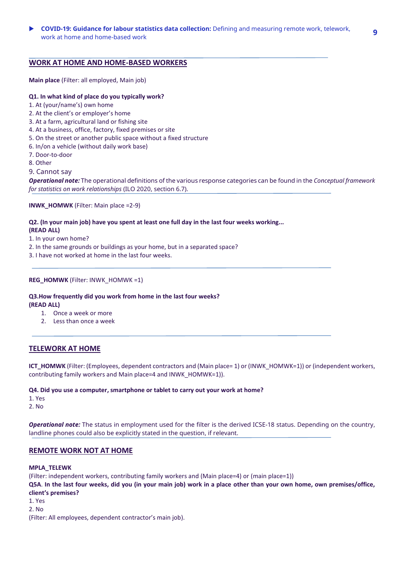# **WORK AT HOME AND HOME-BASED WORKERS**

**Main place** (Filter: all employed, Main job)

## **Q1. In what kind of place do you typically work?**

- 1. At (your/name's) own home
- 2. At the client's or employer's home
- 3. At a farm, agricultural land or fishing site
- 4. At a business, office, factory, fixed premises or site
- 5. On the street or another public space without a fixed structure
- 6. In/on a vehicle (without daily work base)
- 7. Door-to-door
- 8. Other
- 9. Cannot say

*Operational note:* The operational definitions of the various response categories can be found in the *Conceptual framework for statistics on work relationships* (ILO 2020, section 6.7).

**INWK\_HOMWK** (Filter: Main place =2-9)

# **Q2. (In your main job) have you spent at least one full day in the last four weeks working...**

## **(READ ALL)**

1. In your own home?

- 2. In the same grounds or buildings as your home, but in a separated space?
- 3. I have not worked at home in the last four weeks.

# **REG\_HOMWK** (Filter: INWK\_HOMWK =1)

**Q3.How frequently did you work from home in the last four weeks? (READ ALL)**

- 1. Once a week or more
- 2. Less than once a week

# **TELEWORK AT HOME**

**ICT\_HOMWK** (Filter: (Employees, dependent contractors and (Main place= 1) or (INWK\_HOMWK=1)) or (independent workers, contributing family workers and Main place=4 and INWK\_HOMWK=1)).

#### **Q4. Did you use a computer, smartphone or tablet to carry out your work at home?**

1. Yes

2. No

*Operational note:* The status in employment used for the filter is the derived ICSE-18 status. Depending on the country, landline phones could also be explicitly stated in the question, if relevant.

## **REMOTE WORK NOT AT HOME**

#### **MPLA\_TELEWK**

(Filter: independent workers, contributing family workers and (Main place=4) or (main place=1)) **Q5A**. **In the last four weeks, did you (in your main job) work in a place other than your own home, own premises/office, client's premises?**  1. Yes 2. No (Filter: All employees, dependent contractor's main job).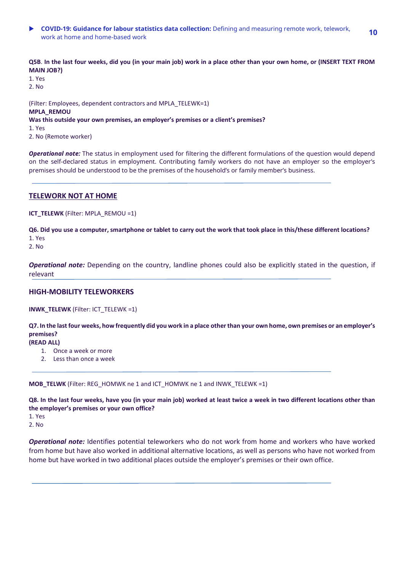**COVID-19: Guidance for labour statistics data collection:** Defining and measuring remote work, telework, work at home and home-based work **<sup>10</sup>**

**Q5B**. **In the last four weeks, did you (in your main job) work in a place other than your own home, or (INSERT TEXT FROM MAIN JOB?)**

1. Yes 2. No

(Filter: Employees, dependent contractors and MPLA\_TELEWK=1) **MPLA\_REMOU Was this outside your own premises, an employer's premises or a client's premises?** 1. Yes 2. No (Remote worker)

*Operational note:* The status in employment used for filtering the different formulations of the question would depend on the self-declared status in employment. Contributing family workers do not have an employer so the employer's premises should be understood to be the premises of the household's or family member's business.

# **TELEWORK NOT AT HOME**

**ICT\_TELEWK** (Filter: MPLA\_REMOU =1)

**Q6. Did you use a computer, smartphone or tablet to carry out the work that took place in this/these different locations?** 1. Yes

2. No

*Operational note:* Depending on the country, landline phones could also be explicitly stated in the question, if relevant

# **HIGH-MOBILITY TELEWORKERS**

**INWK\_TELEWK** (Filter: ICT\_TELEWK =1)

**Q7. In the last four weeks, how frequently did you work in a place other than your own home, own premises or an employer's premises?**

# **(READ ALL)**

- 1. Once a week or more
- 2. Less than once a week

**MOB\_TELWK** (Filter: REG\_HOMWK ne 1 and ICT\_HOMWK ne 1 and INWK\_TELEWK =1)

**Q8. In the last four weeks, have you (in your main job) worked at least twice a week in two different locations other than the employer's premises or your own office?**

1. Yes

2. No

*Operational note:* Identifies potential teleworkers who do not work from home and workers who have worked from home but have also worked in additional alternative locations, as well as persons who have not worked from home but have worked in two additional places outside the employer's premises or their own office.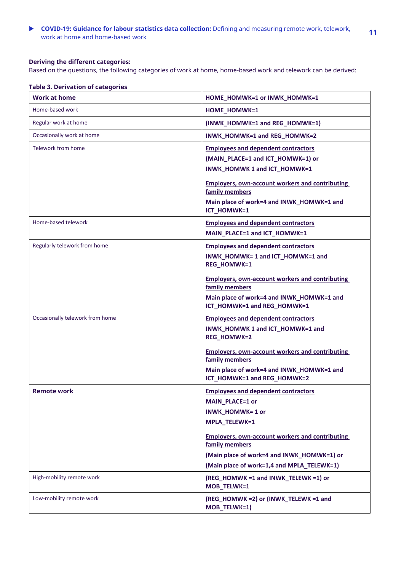**COVID-19: Guidance for labour statistics data collection:** Defining and measuring remote work, telework, work at home and home-based work **<sup>11</sup>**

# **Deriving the different categories:**

Based on the questions, the following categories of work at home, home-based work and telework can be derived:

|  |  | <b>Table 3. Derivation of categories</b> |
|--|--|------------------------------------------|
|--|--|------------------------------------------|

| <b>Work at home</b>             | HOME HOMWK=1 or INWK_HOMWK=1                                                                                                                                                                                                                                              |
|---------------------------------|---------------------------------------------------------------------------------------------------------------------------------------------------------------------------------------------------------------------------------------------------------------------------|
| Home-based work                 | <b>HOME HOMWK=1</b>                                                                                                                                                                                                                                                       |
| Regular work at home            | (INWK_HOMWK=1 and REG_HOMWK=1)                                                                                                                                                                                                                                            |
| Occasionally work at home       | INWK_HOMWK=1 and REG_HOMWK=2                                                                                                                                                                                                                                              |
| Telework from home              | <b>Employees and dependent contractors</b><br>(MAIN_PLACE=1 and ICT_HOMWK=1) or<br>INWK_HOMWK 1 and ICT_HOMWK=1<br><b>Employers, own-account workers and contributing</b><br>family members<br>Main place of work=4 and INWK_HOMWK=1 and<br>ICT_HOMWK=1                   |
| Home-based telework             | <b>Employees and dependent contractors</b><br>MAIN_PLACE=1 and ICT_HOMWK=1                                                                                                                                                                                                |
| Regularly telework from home    | <b>Employees and dependent contractors</b><br>INWK_HOMWK= 1 and ICT_HOMWK=1 and<br><b>REG HOMWK=1</b><br><b>Employers, own-account workers and contributing</b><br>family members<br>Main place of work=4 and INWK_HOMWK=1 and<br>ICT_HOMWK=1 and REG_HOMWK=1             |
| Occasionally telework from home | <b>Employees and dependent contractors</b><br>INWK_HOMWK 1 and ICT_HOMWK=1 and<br>REG_HOMWK=2<br><b>Employers, own-account workers and contributing</b><br>family members<br>Main place of work=4 and INWK_HOMWK=1 and<br>ICT_HOMWK=1 and REG_HOMWK=2                     |
| <b>Remote work</b>              | <b>Employees and dependent contractors</b><br>MAIN_PLACE=1 or<br>INWK_HOMWK=1 or<br>MPLA_TELEWK=1<br><b>Employers, own-account workers and contributing</b><br>family members<br>(Main place of work=4 and INWK HOMWK=1) or<br>(Main place of work=1,4 and MPLA_TELEWK=1) |
| High-mobility remote work       | (REG_HOMWK =1 and INWK_TELEWK =1) or<br>MOB_TELWK=1                                                                                                                                                                                                                       |
| Low-mobility remote work        | (REG_HOMWK =2) or (INWK_TELEWK =1 and<br>MOB_TELWK=1)                                                                                                                                                                                                                     |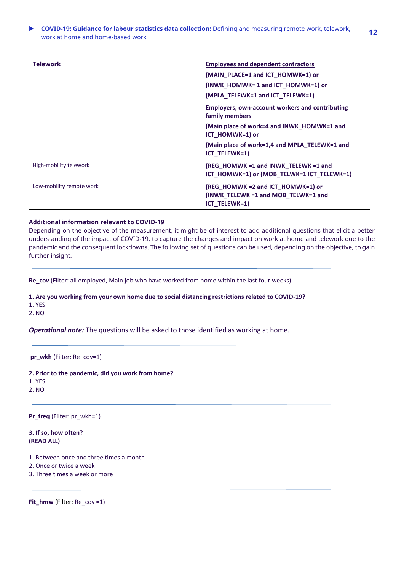# **COVID-19: Guidance for labour statistics data collection:** Defining and measuring remote work, telework, **COVID-19. Guidance for labour statistics data conection.** Defining and measuring remote work, telework, **12**<br>work at home and home-based work

| <b>Telework</b>          | <b>Employees and dependent contractors</b><br>(MAIN_PLACE=1 and ICT_HOMWK=1) or<br>(INWK_HOMWK= 1 and ICT_HOMWK=1) or<br>(MPLA_TELEWK=1 and ICT_TELEWK=1)                                                   |
|--------------------------|-------------------------------------------------------------------------------------------------------------------------------------------------------------------------------------------------------------|
|                          | <b>Employers, own-account workers and contributing</b><br>family members<br>(Main place of work=4 and INWK_HOMWK=1 and<br>ICT_HOMWK=1) or<br>(Main place of work=1,4 and MPLA_TELEWK=1 and<br>ICT_TELEWK=1) |
| High-mobility telework   | (REG_HOMWK =1 and INWK_TELEWK =1 and<br>ICT_HOMWK=1) or (MOB_TELWK=1 ICT_TELEWK=1)                                                                                                                          |
| Low-mobility remote work | (REG_HOMWK = 2 and ICT_HOMWK=1) or<br>(INWK_TELEWK =1 and MOB_TELWK=1 and<br>ICT TELEWK=1)                                                                                                                  |

#### **Additional information relevant to COVID-19**

Depending on the objective of the measurement, it might be of interest to add additional questions that elicit a better understanding of the impact of COVID-19, to capture the changes and impact on work at home and telework due to the pandemic and the consequent lockdowns. The following set of questions can be used, depending on the objective, to gain further insight.

**Re\_cov** (Filter: all employed, Main job who have worked from home within the last four weeks)

**1. Are you working from your own home due to social distancing restrictions related to COVID-19?**

1. YES

2. NO

*Operational note:* The questions will be asked to those identified as working at home.

# **pr\_wkh** (Filter: Re\_cov=1)

**2. Prior to the pandemic, did you work from home?**

1. YES

2. NO

**Pr\_freq** (Filter: pr\_wkh=1)

**3. If so, how often? (READ ALL)**

- 1. Between once and three times a month
- 2. Once or twice a week
- 3. Three times a week or more

```
Fit_hmw (Filter: Re_cov =1)
```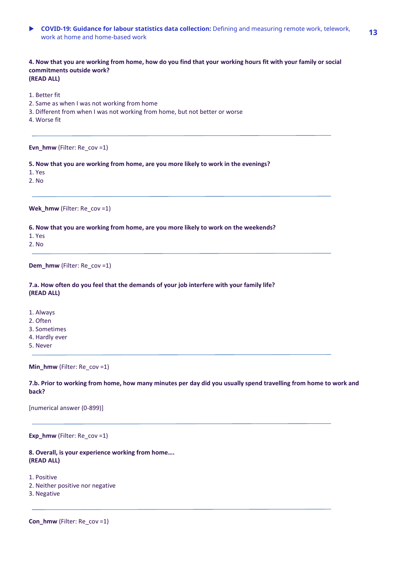**COVID-19: Guidance for labour statistics data collection:** Defining and measuring remote work, telework, **COVID-19. Guidance for labour statistics data conection.** Defining and measuring remote work, telework, **13**<br>work at home and home-based work

**4. Now that you are working from home, how do you find that your working hours fit with your family or social commitments outside work? (READ ALL)**

- 1. Better fit
- 2. Same as when I was not working from home
- 3. Different from when I was not working from home, but not better or worse
- 4. Worse fit

**Evn\_hmw** (Filter: Re\_cov =1)

**5. Now that you are working from home, are you more likely to work in the evenings?**

1. Yes

2. No

**Wek\_hmw** (Filter: Re\_cov =1)

**6. Now that you are working from home, are you more likely to work on the weekends?**

1. Yes

2. No

**Dem\_hmw** (Filter: Re\_cov =1)

**7.a. How often do you feel that the demands of your job interfere with your family life? (READ ALL)**

- 1. Always
- 2. Often
- 3. Sometimes
- 4. Hardly ever
- 5. Never

**Min\_hmw** (Filter: Re\_cov =1)

**7.b. Prior to working from home, how many minutes per day did you usually spend travelling from home to work and back?**

[numerical answer (0-899)]

**Exp\_hmw** (Filter: Re\_cov =1)

**8. Overall, is your experience working from home…. (READ ALL)**

1. Positive

- 2. Neither positive nor negative
- 3. Negative

**Con\_hmw** (Filter: Re\_cov =1)